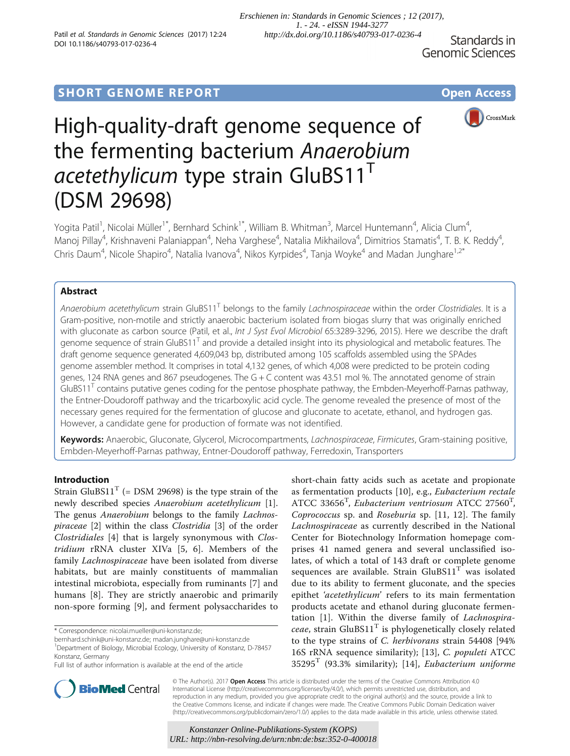Standards in **Genomic Sciences** 

## **SHORT GENOME REPORT CONSUMING A REALLY AND SHORT COPEN ACCESS**



# High-quality-draft genome sequence of the fermenting bacterium Anaerobium  $acetethylicum$  type strain GluBS11<sup>T</sup> (DSM 29698)

Yogita Patil<sup>1</sup>, Nicolai Müller<sup>1\*</sup>, Bernhard Schink<sup>1\*</sup>, William B. Whitman<sup>3</sup>, Marcel Huntemann<sup>4</sup>, Alicia Clum<sup>4</sup> , Manoj Pillay<sup>4</sup>, Krishnaveni Palaniappan<sup>4</sup>, Neha Varghese<sup>4</sup>, Natalia Mikhailova<sup>4</sup>, Dimitrios Stamatis<sup>4</sup>, T. B. K. Reddy<sup>4</sup> , Chris Daum<sup>4</sup>, Nicole Shapiro<sup>4</sup>, Natalia Ivanova<sup>4</sup>, Nikos Kyrpides<sup>4</sup>, Tanja Woyke<sup>4</sup> and Madan Junghare<sup>1,2\*</sup>

## Abstract

Anaerobium acetethylicum strain GluBS11<sup>T</sup> belongs to the family Lachnospiraceae within the order Clostridiales. It is a Gram-positive, non-motile and strictly anaerobic bacterium isolated from biogas slurry that was originally enriched with gluconate as carbon source (Patil, et al., Int J Syst Evol Microbiol 65:3289-3296, 2015). Here we describe the draft genome sequence of strain GluBS11<sup>T</sup> and provide a detailed insight into its physiological and metabolic features. The draft genome sequence generated 4,609,043 bp, distributed among 105 scaffolds assembled using the SPAdes genome assembler method. It comprises in total 4,132 genes, of which 4,008 were predicted to be protein coding genes, 124 RNA genes and 867 pseudogenes. The G + C content was 43.51 mol %. The annotated genome of strain GluBS11 $^{\prime}$  contains putative genes coding for the pentose phosphate pathway, the Embden-Meyerhoff-Parnas pathway, the Entner-Doudoroff pathway and the tricarboxylic acid cycle. The genome revealed the presence of most of the necessary genes required for the fermentation of glucose and gluconate to acetate, ethanol, and hydrogen gas. However, a candidate gene for production of formate was not identified.

Keywords: Anaerobic, Gluconate, Glycerol, Microcompartments, *Lachnospiraceae*, Firmicutes, Gram-staining positive, Embden-Meyerhoff-Parnas pathway, Entner-Doudoroff pathway, Ferredoxin, Transporters

## Introduction

Strain GluBS11<sup>T</sup> (= [DSM 29698\)](http://doi.org/10.1601/strainfinder?urlappend=%3Fid%3DDSM+29698) is the type strain of the newly described species [Anaerobium acetethylicum](http://doi.org/10.1601/nm.27452) [\[1](#page-9-0)]. The genus [Anaerobium](http://doi.org/10.1601/nm.27451) belongs to the family [Lachnos](http://doi.org/10.1601/nm.4118)[piraceae](http://doi.org/10.1601/nm.4118) [[2\]](#page-9-0) within the class [Clostridia](http://doi.org/10.1601/nm.3875) [\[3](#page-9-0)] of the order [Clostridiales](http://doi.org/10.1601/nm.3876) [[4](#page-9-0)] that is largely synonymous with [Clos](http://doi.org/10.1601/nm.3878)[tridium](http://doi.org/10.1601/nm.3878) rRNA cluster XIVa [[5, 6\]](#page-9-0). Members of the family [Lachnospiraceae](http://doi.org/10.1601/nm.4118) have been isolated from diverse habitats, but are mainly constituents of mammalian intestinal microbiota, especially from ruminants [[7\]](#page-9-0) and humans [\[8](#page-9-0)]. They are strictly anaerobic and primarily non-spore forming [\[9](#page-9-0)], and ferment polysaccharides to

\* Correspondence: [nicolai.mueller@uni-konstanz.de;](mailto:nicolai.mueller@uni-konstanz.de)

short-chain fatty acids such as acetate and propionate as fermentation products [[10\]](#page-9-0), e.g., [Eubacterium rectale](http://doi.org/10.1601/nm.4266) [ATCC 33656](http://doi.org/10.1601/strainfinder?urlappend=%3Fid%3DATCC+33656)<sup>T</sup>, [Eubacterium ventriosum](http://doi.org/10.1601/nm.4279) [ATCC 27560](http://doi.org/10.1601/strainfinder?urlappend=%3Fid%3DATCC+27560)<sup>T</sup>, [Coprococcus](http://doi.org/10.1601/nm.4137) sp. and [Roseburia](http://doi.org/10.1601/nm.4148) sp. [\[11](#page-9-0), [12\]](#page-9-0). The family [Lachnospiraceae](http://doi.org/10.1601/nm.4118) as currently described in the National Center for Biotechnology Information homepage comprises 41 named genera and several unclassified isolates, of which a total of 143 draft or complete genome sequences are available. Strain  $GluBS11<sup>T</sup>$  was isolated due to its ability to ferment gluconate, and the species epithet 'acetethylicum' refers to its main fermentation products acetate and ethanol during gluconate fermentation [\[1](#page-9-0)]. Within the diverse family of [Lachnospira](http://doi.org/10.1601/nm.4118)[ceae](http://doi.org/10.1601/nm.4118), strain  $GluBS11<sup>T</sup>$  is phylogenetically closely related to the type strains of [C. herbivorans](http://doi.org/10.1601/nm.3945) strain 54408 [94% 16S rRNA sequence similarity); [[13\]](#page-9-0), [C. populeti](http://doi.org/10.1601/nm.3996) [ATCC](http://doi.org/10.1601/strainfinder?urlappend=%3Fid%3DATCC+35295)  $35295<sup>T</sup>$  $35295<sup>T</sup>$  (93.3% similarity); [\[14](#page-9-0)], [Eubacterium uniforme](http://doi.org/10.1601/nm.4278)



© The Author(s). 2017 Open Access This article is distributed under the terms of the Creative Commons Attribution 4.0 International License [\(http://creativecommons.org/licenses/by/4.0/](http://creativecommons.org/licenses/by/4.0/)), which permits unrestricted use, distribution, and reproduction in any medium, provided you give appropriate credit to the original author(s) and the source, provide a link to the Creative Commons license, and indicate if changes were made. The Creative Commons Public Domain Dedication waiver [\(http://creativecommons.org/publicdomain/zero/1.0/](http://creativecommons.org/publicdomain/zero/1.0/)) applies to the data made available in this article, unless otherwise stated.

[bernhard.schink@uni-konstanz.de](mailto:bernhard.schink@uni-konstanz.de); [madan.junghare@uni-konstanz.de](mailto:madan.junghare@uni-konstanz.de) <sup>1</sup>

<sup>&</sup>lt;sup>1</sup>Department of Biology, Microbial Ecology, University of Konstanz, D-78457 Konstanz, Germany

Full list of author information is available at the end of the article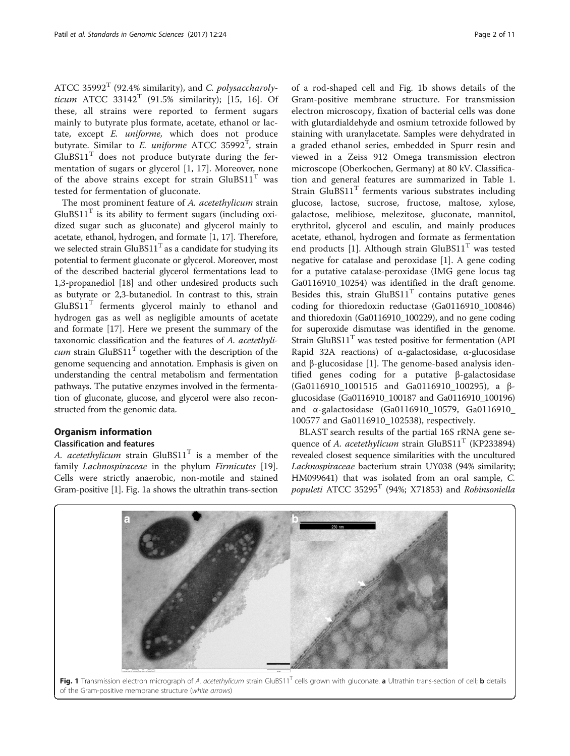[ATCC 35992](http://doi.org/10.1601/strainfinder?urlappend=%3Fid%3DATCC+35992) $^T$  (92.4% similarity), and [C. polysaccharoly](http://doi.org/10.1601/nm.3995)[ticum](http://doi.org/10.1601/nm.3995) [ATCC 33142](http://doi.org/10.1601/strainfinder?urlappend=%3Fid%3DATCC+33142)<sup>T</sup> (91.5% similarity); [[15, 16\]](#page-9-0). Of these, all strains were reported to ferment sugars mainly to butyrate plus formate, acetate, ethanol or lactate, except [E. uniforme](http://doi.org/10.1601/nm.4278), which does not produce butyrate. Similar to *[E. uniforme](http://doi.org/10.1601/nm.4278)* [ATCC 35992](http://doi.org/10.1601/strainfinder?urlappend=%3Fid%3DATCC+35992)<sup>T</sup>, strain  $GluBS11<sup>T</sup>$  does not produce butyrate during the fermentation of sugars or glycerol [[1, 17\]](#page-9-0). Moreover, none of the above strains except for strain  $GluBS11<sup>T</sup>$  was tested for fermentation of gluconate.

The most prominent feature of [A. acetethylicum](http://doi.org/10.1601/nm.27452) strain  $GluBS11<sup>T</sup>$  is its ability to ferment sugars (including oxidized sugar such as gluconate) and glycerol mainly to acetate, ethanol, hydrogen, and formate [\[1](#page-9-0), [17\]](#page-9-0). Therefore, we selected strain  $GluBS11<sup>T</sup>$  as a candidate for studying its potential to ferment gluconate or glycerol. Moreover, most of the described bacterial glycerol fermentations lead to 1,3-propanediol [\[18\]](#page-10-0) and other undesired products such as butyrate or 2,3-butanediol. In contrast to this, strain  $GluBS11<sup>T</sup>$  ferments glycerol mainly to ethanol and hydrogen gas as well as negligible amounts of acetate and formate [[17\]](#page-9-0). Here we present the summary of the taxonomic classification and the features of [A. acetethyli](http://doi.org/10.1601/nm.27452)*[cum](http://doi.org/10.1601/nm.27452)* strain  $GluBS11<sup>T</sup>$  together with the description of the genome sequencing and annotation. Emphasis is given on understanding the central metabolism and fermentation pathways. The putative enzymes involved in the fermentation of gluconate, glucose, and glycerol were also reconstructed from the genomic data.

## Organism information

## Classification and features

[A. acetethylicum](http://doi.org/10.1601/nm.27452) strain  $GluBS11<sup>T</sup>$  is a member of the family *[Lachnospiraceae](http://doi.org/10.1601/nm.4118)* in the phylum *[Firmicutes](http://doi.org/10.1601/nm.3874)* [\[19](#page-10-0)]. Cells were strictly anaerobic, non-motile and stained Gram-positive [\[1\]](#page-9-0). Fig. 1a shows the ultrathin trans-section

of a rod-shaped cell and Fig. 1b shows details of the Gram-positive membrane structure. For transmission electron microscopy, fixation of bacterial cells was done with glutardialdehyde and osmium tetroxide followed by staining with uranylacetate. Samples were dehydrated in a graded ethanol series, embedded in Spurr resin and viewed in a Zeiss 912 Omega transmission electron microscope (Oberkochen, [Germany\)](https://www.google.com/maps/place/Germany) at 80 kV. Classification and general features are summarized in Table [1](#page-2-0). Strain  $GluBS11<sup>T</sup>$  ferments various substrates including glucose, lactose, sucrose, fructose, maltose, xylose, galactose, melibiose, melezitose, gluconate, mannitol, erythritol, glycerol and esculin, and mainly produces acetate, ethanol, hydrogen and formate as fermentation end products [[1\]](#page-9-0). Although strain  $GluBS11<sup>T</sup>$  was tested negative for catalase and peroxidase [\[1](#page-9-0)]. A gene coding for a putative catalase-peroxidase (IMG gene locus tag Ga0116910\_10254) was identified in the draft genome. Besides this, strain  $GluBS11<sup>T</sup>$  contains putative genes coding for thioredoxin reductase (Ga0116910\_100846) and thioredoxin (Ga0116910\_100229), and no gene coding for superoxide dismutase was identified in the genome. Strain GluBS $11<sup>T</sup>$  was tested positive for fermentation (API Rapid 32A reactions) of α-galactosidase, α-glucosidase and β-glucosidase [[1\]](#page-9-0). The genome-based analysis identified genes coding for a putative β-galactosidase (Ga0116910\_1001515 and Ga0116910\_100295), a βglucosidase (Ga0116910\_100187 and Ga0116910\_100196) and α-galactosidase (Ga0116910\_10579, Ga0116910\_ 100577 and Ga0116910\_102538), respectively.

BLAST search results of the partial 16S rRNA gene se-quence of [A. acetethylicum](http://doi.org/10.1601/nm.27452) strain  $GluBS11<sup>T</sup>$  ([KP233894](https://www.ncbi.nlm.nih.gov/nuccore/KP233894)) revealed closest sequence similarities with the uncultured [Lachnospiraceae](http://doi.org/10.1601/nm.4118) bacterium strain UY038 (94% similarity; [HM099641](https://www.ncbi.nlm.nih.gov/nuccore/HM099641)) that was isolated from an oral sample, [C.](http://doi.org/10.1601/nm.3996) [populeti](http://doi.org/10.1601/nm.3996) ATCC 35295<sup>T</sup> (94%; [X71853](https://www.ncbi.nlm.nih.gov/nuccore/X71853)) and [Robinsoniella](http://doi.org/10.1601/nm.13137)



#### of the Gram-positive membrane structure (white arrows)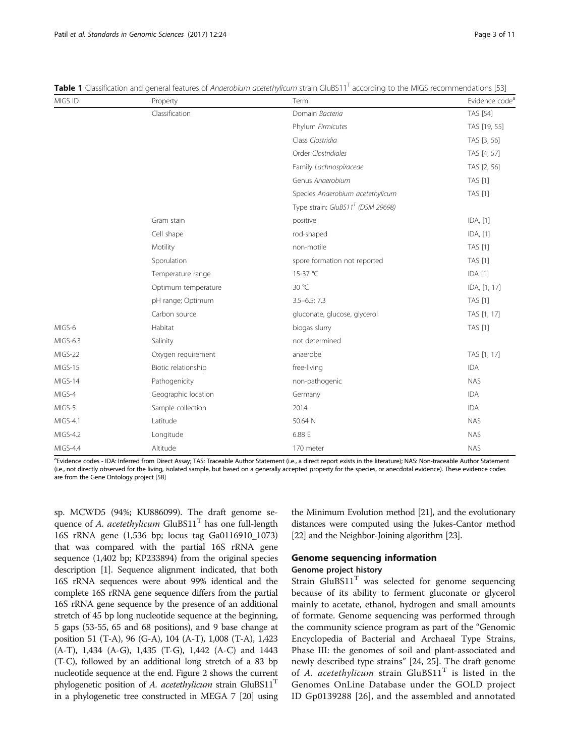| MIGS ID  | Property            | Term                                 | Evidence code <sup>a</sup> |
|----------|---------------------|--------------------------------------|----------------------------|
|          | Classification      | Domain Bacteria                      | TAS [54]                   |
|          |                     | Phylum Firmicutes                    | TAS [19, 55]               |
|          |                     | Class Clostridia                     | TAS [3, 56]                |
|          |                     | Order Clostridiales                  | TAS [4, 57]                |
|          |                     | Family Lachnospiraceae               | TAS [2, 56]                |
|          |                     | Genus Anaerobium                     | <b>TAS [1]</b>             |
|          |                     | Species Anaerobium acetethylicum     | <b>TAS [1]</b>             |
|          |                     | Type strain: $GluBS11^T$ (DSM 29698) |                            |
|          | Gram stain          | positive                             | IDA, [1]                   |
|          | Cell shape          | rod-shaped                           | IDA, [1]                   |
|          | Motility            | non-motile                           | <b>TAS [1]</b>             |
|          | Sporulation         | spore formation not reported         | <b>TAS [1]</b>             |
|          | Temperature range   | 15-37 °C                             | IDA [1]                    |
|          | Optimum temperature | 30 °C                                | IDA, [1, 17]               |
|          | pH range; Optimum   | $3.5 - 6.5; 7.3$                     | <b>TAS [1]</b>             |
|          | Carbon source       | gluconate, glucose, glycerol         | TAS [1, 17]                |
| MIGS-6   | Habitat             | biogas slurry                        | <b>TAS [1]</b>             |
| MIGS-6.3 | Salinity            | not determined                       |                            |
| MIGS-22  | Oxygen requirement  | anaerobe                             | TAS [1, 17]                |
| MIGS-15  | Biotic relationship | free-living                          | <b>IDA</b>                 |
| MIGS-14  | Pathogenicity       | non-pathogenic                       | <b>NAS</b>                 |
| MIGS-4   | Geographic location | Germany                              | <b>IDA</b>                 |
| MIGS-5   | Sample collection   | 2014                                 | <b>IDA</b>                 |
| MIGS-4.1 | Latitude            | 50.64 N                              | <b>NAS</b>                 |
| MIGS-4.2 | Longitude           | 6.88 E                               | <b>NAS</b>                 |
| MIGS-4.4 | Altitude            | 170 meter                            | <b>NAS</b>                 |

<span id="page-2-0"></span>Table 1 Classification and general features of Anaerobium acetethylicum strain GluBS11<sup>T</sup> according to the MIGS recommendations [[53](#page-10-0)]

a<br><sup>a</sup>Evidence codes - IDA: Inferred from Direct Assay; TAS: Traceable Author Statement (i.e., a direct report exists in the literature); NAS: Non-traceable Author Statement (i.e., not directly observed for the living, isolated sample, but based on a generally accepted property for the species, or anecdotal evidence). These evidence codes are from the Gene Ontology project [[58\]](#page-10-0)

sp. MCWD5 (94%; [KU886099](https://www.ncbi.nlm.nih.gov/nuccore/KU886099)). The draft genome sequence of A. *acetethylicum* GluBS11<sup>T</sup> has one full-length 16S rRNA gene (1,536 bp; locus tag Ga0116910\_1073) that was compared with the partial 16S rRNA gene sequence (1,402 bp; [KP233894\)](https://www.ncbi.nlm.nih.gov/nuccore/KP233894) from the original species description [\[1\]](#page-9-0). Sequence alignment indicated, that both 16S rRNA sequences were about 99% identical and the complete 16S rRNA gene sequence differs from the partial 16S rRNA gene sequence by the presence of an additional stretch of 45 bp long nucleotide sequence at the beginning, 5 gaps (53-55, 65 and 68 positions), and 9 base change at position 51 (T-A), 96 (G-A), 104 (A-T), 1,008 (T-A), 1,423 (A-T), 1,434 (A-G), 1,435 (T-G), 1,442 (A-C) and 1443 (T-C), followed by an additional long stretch of a 83 bp nucleotide sequence at the end. Figure [2](#page-3-0) shows the current phylogenetic position of [A. acetethylicum](http://doi.org/10.1601/nm.27452) strain  $GluBS11<sup>T</sup>$ in a phylogenetic tree constructed in MEGA 7 [\[20\]](#page-10-0) using the Minimum Evolution method [[21](#page-10-0)], and the evolutionary distances were computed using the Jukes-Cantor method [[22](#page-10-0)] and the Neighbor-Joining algorithm [[23](#page-10-0)].

## Genome sequencing information

## Genome project history

Strain  $GluBS11<sup>T</sup>$  was selected for genome sequencing because of its ability to ferment gluconate or glycerol mainly to acetate, ethanol, hydrogen and small amounts of formate. Genome sequencing was performed through the community science program as part of the "Genomic Encyclopedia of Bacterial and Archaeal Type Strains, Phase III: the genomes of soil and plant-associated and newly described type strains" [[24, 25\]](#page-10-0). The draft genome of [A. acetethylicum](http://doi.org/10.1601/nm.27452) strain  $GluBS11<sup>T</sup>$  is listed in the Genomes OnLine Database under the GOLD project ID Gp0139288 [[26\]](#page-10-0), and the assembled and annotated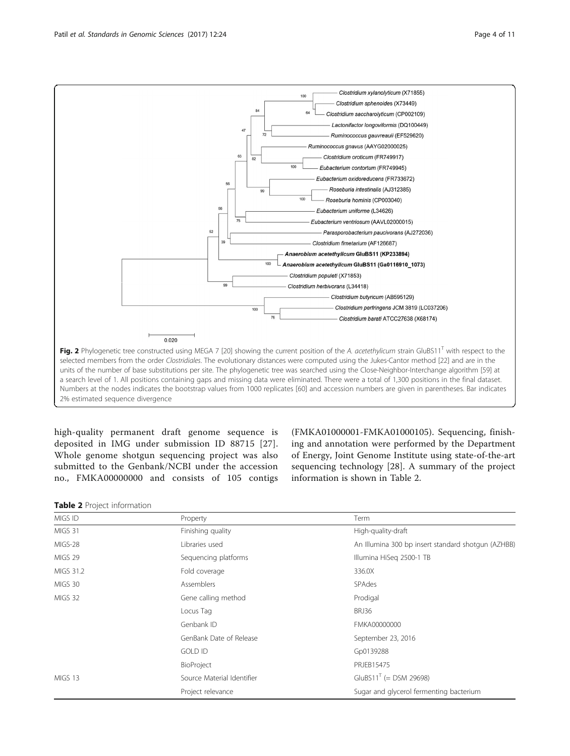<span id="page-3-0"></span>

high-quality permanent draft genome sequence is deposited in IMG under submission ID 88715 [[27](#page-10-0)]. Whole genome shotgun sequencing project was also submitted to the Genbank/NCBI under the accession no., [FMKA00000000](https://www.ncbi.nlm.nih.gov/nuccore/FMKA00000000) and consists of 105 contigs

([FMKA01000001](https://www.ncbi.nlm.nih.gov/nuccore/FMKA01000001)-[FMKA01000105](https://www.ncbi.nlm.nih.gov/nuccore/FMKA01000105)). Sequencing, finishing and annotation were performed by the Department of Energy, Joint Genome Institute using state-of-the-art sequencing technology [[28\]](#page-10-0). A summary of the project information is shown in Table 2.

Table 2 Project information

| MIGS ID   | Property                   | Term                                               |
|-----------|----------------------------|----------------------------------------------------|
| MIGS 31   | Finishing quality          | High-quality-draft                                 |
| MIGS-28   | Libraries used             | An Illumina 300 bp insert standard shotgun (AZHBB) |
| MIGS 29   | Sequencing platforms       | Illumina HiSeg 2500-1 TB                           |
| MIGS 31.2 | Fold coverage              | 336.0X                                             |
| MIGS 30   | Assemblers                 | <b>SPAdes</b>                                      |
| MIGS 32   | Gene calling method        | Prodigal                                           |
|           | Locus Tag                  | BRJ36                                              |
|           | Genbank ID                 | FMKA00000000                                       |
|           | GenBank Date of Release    | September 23, 2016                                 |
|           | <b>GOLD ID</b>             | Gp0139288                                          |
|           | BioProject                 | PRJEB15475                                         |
| MIGS 13   | Source Material Identifier | $GluB511^{T} (=$ DSM 29698)                        |
|           | Project relevance          | Sugar and glycerol fermenting bacterium            |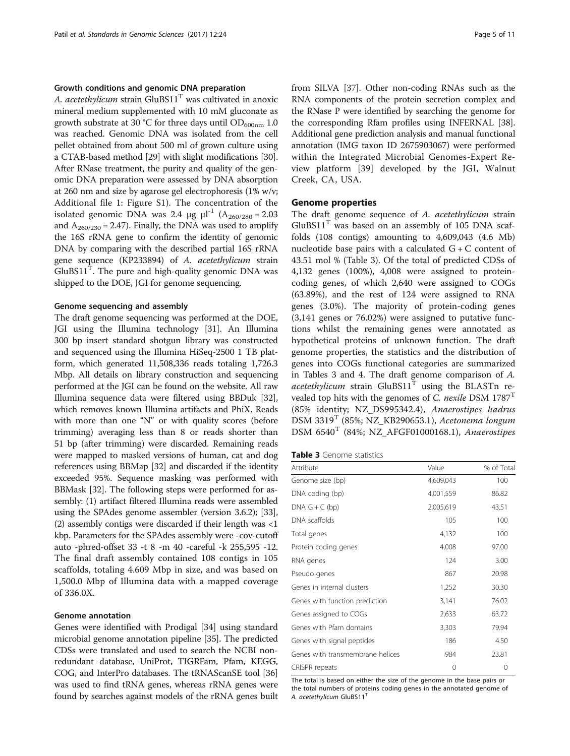## Growth conditions and genomic DNA preparation

[A. acetethylicum](http://doi.org/10.1601/nm.27452) strain  $GluBS11<sup>T</sup>$  was cultivated in anoxic mineral medium supplemented with 10 mM gluconate as growth substrate at 30 °C for three days until  $OD_{600nm}$  1.0 was reached. Genomic DNA was isolated from the cell pellet obtained from about 500 ml of grown culture using a CTAB-based method [\[29\]](#page-10-0) with slight modifications [[30](#page-10-0)]. After RNase treatment, the purity and quality of the genomic DNA preparation were assessed by DNA absorption at 260 nm and size by agarose gel electrophoresis (1% w/v; Additional file [1](#page-9-0): Figure S1). The concentration of the isolated genomic DNA was 2.4  $\mu$ g  $\mu$ l<sup>-1</sup> (A<sub>260/280</sub> = 2.03 and  $A_{260/230} = 2.47$ . Finally, the DNA was used to amplify the 16S rRNA gene to confirm the identity of genomic DNA by comparing with the described partial 16S rRNA gene sequence ([KP233894](https://www.ncbi.nlm.nih.gov/nuccore/KP233894)) of [A. acetethylicum](http://doi.org/10.1601/nm.27452) strain  $G$ luBS $11<sup>T</sup>$ . The pure and high-quality genomic DNA was shipped to the DOE, JGI for genome sequencing.

#### Genome sequencing and assembly

The draft genome sequencing was performed at the DOE, JGI using the Illumina technology [\[31\]](#page-10-0). An Illumina 300 bp insert standard shotgun library was constructed and sequenced using the Illumina HiSeq-2500 1 TB platform, which generated 11,508,336 reads totaling 1,726.3 Mbp. All details on library construction and sequencing performed at the JGI can be found on the website. All raw Illumina sequence data were filtered using BBDuk [[32](#page-10-0)], which removes known Illumina artifacts and PhiX. Reads with more than one "N" or with quality scores (before trimming) averaging less than 8 or reads shorter than 51 bp (after trimming) were discarded. Remaining reads were mapped to masked versions of human, cat and dog references using BBMap [\[32\]](#page-10-0) and discarded if the identity exceeded 95%. Sequence masking was performed with BBMask [\[32](#page-10-0)]. The following steps were performed for assembly: (1) artifact filtered Illumina reads were assembled using the SPAdes genome assembler (version 3.6.2); [[33](#page-10-0)], (2) assembly contigs were discarded if their length was <1 kbp. Parameters for the SPAdes assembly were -cov-cutoff auto -phred-offset 33 -t 8 -m 40 -careful -k 255,595 -12. The final draft assembly contained 108 contigs in 105 scaffolds, totaling 4.609 Mbp in size, and was based on 1,500.0 Mbp of Illumina data with a mapped coverage of 336.0X.

#### Genome annotation

Genes were identified with Prodigal [\[34\]](#page-10-0) using standard microbial genome annotation pipeline [\[35\]](#page-10-0). The predicted CDSs were translated and used to search the NCBI nonredundant database, UniProt, TIGRFam, Pfam, KEGG, COG, and InterPro databases. The tRNAScanSE tool [[36](#page-10-0)] was used to find tRNA genes, whereas rRNA genes were found by searches against models of the rRNA genes built from SILVA [\[37](#page-10-0)]. Other non-coding RNAs such as the RNA components of the protein secretion complex and the RNase P were identified by searching the genome for the corresponding Rfam profiles using INFERNAL [[38](#page-10-0)]. Additional gene prediction analysis and manual functional annotation (IMG taxon ID 2675903067) were performed within the Integrated Microbial Genomes-Expert Review platform [\[39](#page-10-0)] developed by the JGI, [Walnut](https://www.google.com/maps/place/Walnut+Creek,+California,+United+States) [Creek, CA, USA.](https://www.google.com/maps/place/Walnut+Creek,+California,+United+States)

#### Genome properties

The draft genome sequence of [A. acetethylicum](http://doi.org/10.1601/nm.27452) strain  $GluBS11<sup>T</sup>$  was based on an assembly of 105 DNA scaffolds (108 contigs) amounting to 4,609,043 (4.6 Mb) nucleotide base pairs with a calculated  $G + C$  content of 43.51 mol % (Table 3). Of the total of predicted CDSs of 4,132 genes (100%), 4,008 were assigned to proteincoding genes, of which 2,640 were assigned to COGs (63.89%), and the rest of 124 were assigned to RNA genes (3.0%). The majority of protein-coding genes (3,141 genes or 76.02%) were assigned to putative functions whilst the remaining genes were annotated as hypothetical proteins of unknown function. The draft genome properties, the statistics and the distribution of genes into COGs functional categories are summarized in Tables 3 and [4.](#page-5-0) The draft genome comparison of [A.](http://doi.org/10.1601/nm.27452) [acetethylicum](http://doi.org/10.1601/nm.27452) strain  $GluBS11<sup>T</sup>$  using the BLASTn re-vealed top hits with the genomes of [C. nexile](http://doi.org/10.1601/nm.3977) DSM  $1787<sup>T</sup>$ (85% identity; NZ\_DS995342.4), [Anaerostipes hadrus](http://doi.org/10.1601/nm.24708) [DSM 3319](http://doi.org/10.1601/strainfinder?urlappend=%3Fid%3DDSM+3319)<sup>T</sup> (85%; NZ\_KB290653.1), [Acetonema longum](http://doi.org/10.1601/nm.4376) DSM  $6540<sup>T</sup>$  (84%; NZ\_AFGF01000168.1), [Anaerostipes](http://doi.org/10.1601/nm.4128)

| Table 3 Genome statistics |
|---------------------------|
|---------------------------|

| Attribute                        | Value     | % of Total |
|----------------------------------|-----------|------------|
| Genome size (bp)                 | 4,609,043 | 100        |
| DNA coding (bp)                  | 4,001,559 | 86.82      |
| DNA $G + C$ (bp)                 | 2,005,619 | 43.51      |
| DNA scaffolds                    | 105       | 100        |
| Total genes                      | 4,132     | 100        |
| Protein coding genes             | 4,008     | 97.00      |
| RNA genes                        | 124       | 3.00       |
| Pseudo genes                     | 867       | 20.98      |
| Genes in internal clusters       | 1,252     | 30.30      |
| Genes with function prediction   | 3,141     | 76.02      |
| Genes assigned to COGs           | 2,633     | 63.72      |
| Genes with Pfam domains          | 3,303     | 79.94      |
| Genes with signal peptides       | 186       | 4.50       |
| Genes with transmembrane helices | 984       | 23.81      |
| CRISPR repeats                   | 0         | 0          |

The total is based on either the size of the genome in the base pairs or the total numbers of proteins coding genes in the annotated genome of A. acetethylicum GluBS11<sup>T</sup>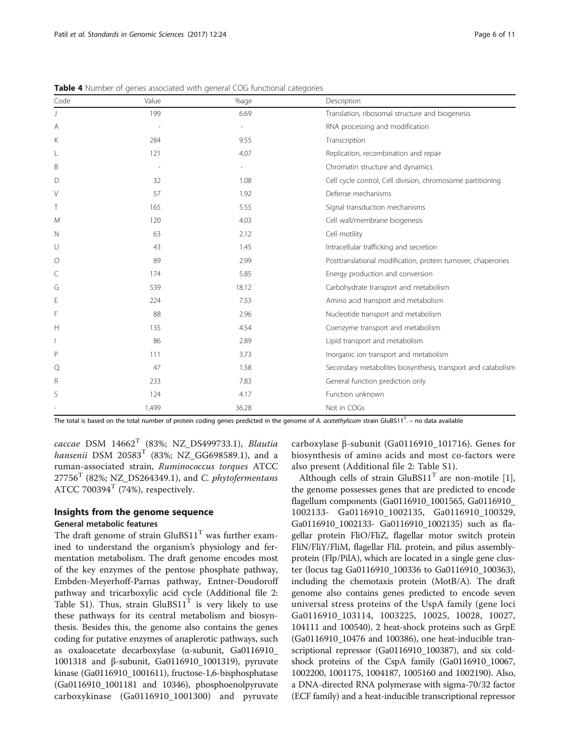| Code | Value | %age  | Description                                                  |
|------|-------|-------|--------------------------------------------------------------|
|      | 199   | 6.69  | Translation, ribosomal structure and biogenesis              |
| A    |       |       | RNA processing and modification                              |
| Κ    | 284   | 9.55  | Transcription                                                |
| L    | 121   | 4.07  | Replication, recombination and repair                        |
| B    |       |       | Chromatin structure and dynamics                             |
| D    | 32    | 1.08  | Cell cycle control, Cell division, chromosome partitioning   |
| V    | 57    | 1.92  | Defense mechanisms                                           |
| Τ    | 165   | 5.55  | Signal transduction mechanisms                               |
| M    | 120   | 4.03  | Cell wall/membrane biogenesis                                |
| N    | 63    | 2.12  | Cell motility                                                |
| U    | 43    | 1.45  | Intracellular trafficking and secretion                      |
| O    | 89    | 2.99  | Posttranslational modification, protein turnover, chaperones |
| C    | 174   | 5.85  | Energy production and conversion                             |
| G    | 539   | 18.12 | Carbohydrate transport and metabolism                        |
| E    | 224   | 7.53  | Amino acid transport and metabolism                          |
| F    | 88    | 2.96  | Nucleotide transport and metabolism                          |
| Н    | 135   | 4.54  | Coenzyme transport and metabolism                            |
|      | 86    | 2.89  | Lipid transport and metabolism                               |
| P    | 111   | 3.73  | Inorganic ion transport and metabolism                       |
| Q    | 47    | 1.58  | Secondary metabolites biosynthesis, transport and catabolism |
| R    | 233   | 7.83  | General function prediction only                             |
| S    | 124   | 4.17  | Function unknown                                             |
|      | 1,499 | 36.28 | Not in COGs                                                  |

<span id="page-5-0"></span>Table 4 Number of genes associated with general COG functional categories

The total is based on the total number of protein coding genes predicted in the genome of A. acetethylicum strain GluBS11<sup>T</sup>. – no data available

[caccae](http://doi.org/10.1601/nm.4128) DSM  $14662<sup>T</sup>$  (83%; NZ\_DS499733.1), [Blautia](http://doi.org/10.1601/nm.13005) [hansenii](http://doi.org/10.1601/nm.13005) [DSM 20583](http://doi.org/10.1601/strainfinder?urlappend=%3Fid%3DDSM+20583)<sup>T</sup> (83%; NZ GG698589.1), and a ruman-associated strain, [Ruminococcus torques](http://doi.org/10.1601/nm.4166) [ATCC](http://doi.org/10.1601/strainfinder?urlappend=%3Fid%3DATCC+27756)  $27756<sup>T</sup>$  $27756<sup>T</sup>$  (82%; NZ\_DS264349.1), and [C. phytofermentans](http://doi.org/10.1601/nm.3993) [ATCC 700394](http://doi.org/10.1601/strainfinder?urlappend=%3Fid%3DATCC+700394)<sup>T</sup> (74%), respectively.

## Insights from the genome sequence General metabolic features

The draft genome of strain  $GluBS11<sup>T</sup>$  was further examined to understand the organism's physiology and fermentation metabolism. The draft genome encodes most of the key enzymes of the pentose phosphate pathway, Embden-Meyerhoff-Parnas pathway, Entner-Doudoroff pathway and tricarboxylic acid cycle (Additional file [2](#page-9-0): Table S1). Thus, strain  $GluBS11<sup>T</sup>$  is very likely to use these pathways for its central metabolism and biosynthesis. Besides this, the genome also contains the genes coding for putative enzymes of anaplerotic pathways, such as oxaloacetate decarboxylase (α-subunit, Ga0116910\_ 1001318 and β-subunit, Ga0116910\_1001319), pyruvate kinase (Ga0116910\_1001611), fructose-1,6-bisphosphatase (Ga0116910\_1001181 and 10346), phosphoenolpyruvate carboxykinase (Ga0116910\_1001300) and pyruvate carboxylase β-subunit (Ga0116910\_101716). Genes for biosynthesis of amino acids and most co-factors were also present (Additional file [2](#page-9-0): Table S1).

Although cells of strain  $GluBS11<sup>T</sup>$  are non-motile [\[1](#page-9-0)], the genome possesses genes that are predicted to encode flagellum components (Ga0116910\_1001565, Ga0116910\_ 1002133- Ga0116910\_1002135, Ga0116910\_100329, Ga0116910 1002133- Ga0116910 1002135) such as flagellar protein FliO/FliZ, flagellar motor switch protein FliN/FliY/FliM, flagellar FliL protein, and pilus assemblyprotein (Flp/PilA), which are located in a single gene cluster (locus tag Ga0116910\_100336 to Ga0116910\_100363), including the chemotaxis protein (MotB/A). The draft genome also contains genes predicted to encode seven universal stress proteins of the UspA family (gene loci Ga0116910\_103114, 1003225, 10025, 10028, 10027, 104111 and 100540), 2 heat-shock proteins such as GrpE (Ga0116910\_10476 and 100386), one heat-inducible transcriptional repressor (Ga0116910\_100387), and six coldshock proteins of the CspA family (Ga0116910\_10067, 1002200, 1001175, 1004187, 1005160 and 1002190). Also, a DNA-directed RNA polymerase with sigma-70/32 factor (ECF family) and a heat-inducible transcriptional repressor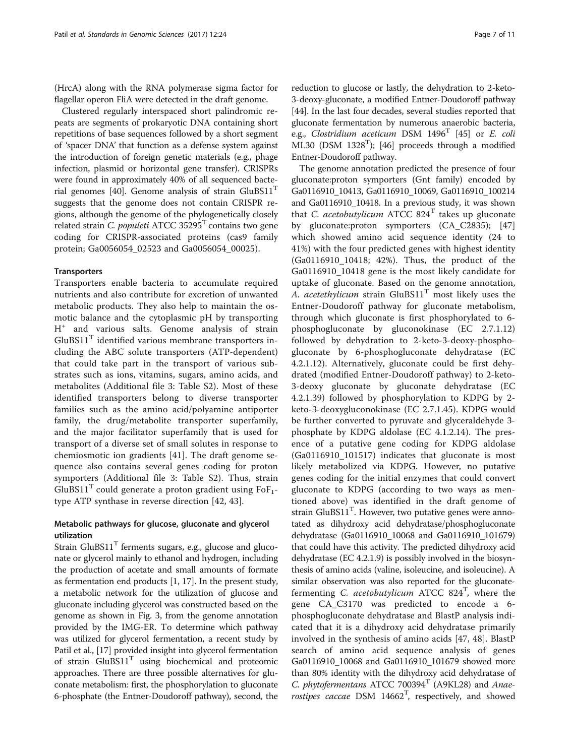(HrcA) along with the RNA polymerase sigma factor for flagellar operon FliA were detected in the draft genome.

Clustered regularly interspaced short palindromic repeats are segments of prokaryotic DNA containing short repetitions of base sequences followed by a short segment of 'spacer DNA' that function as a defense system against the introduction of foreign genetic materials (e.g., phage infection, plasmid or horizontal gene transfer). CRISPRs were found in approximately 40% of all sequenced bacte-rial genomes [\[40\]](#page-10-0). Genome analysis of strain  $GluBS11<sup>T</sup>$ suggests that the genome does not contain CRISPR regions, although the genome of the phylogenetically closely related strain [C. populeti](http://doi.org/10.1601/nm.3996) ATCC  $35295<sup>T</sup>$  contains two gene coding for CRISPR-associated proteins (cas9 family protein; Ga0056054\_02523 and Ga0056054\_00025).

## **Transporters**

Transporters enable bacteria to accumulate required nutrients and also contribute for excretion of unwanted metabolic products. They also help to maintain the osmotic balance and the cytoplasmic pH by transporting H<sup>+</sup> and various salts. Genome analysis of strain  $GluBS11<sup>T</sup>$  identified various membrane transporters including the ABC solute transporters (ATP-dependent) that could take part in the transport of various substrates such as ions, vitamins, sugars, amino acids, and metabolites (Additional file [3:](#page-9-0) Table S2). Most of these identified transporters belong to diverse transporter families such as the amino acid/polyamine antiporter family, the drug/metabolite transporter superfamily, and the major facilitator superfamily that is used for transport of a diverse set of small solutes in response to chemiosmotic ion gradients [\[41](#page-10-0)]. The draft genome sequence also contains several genes coding for proton symporters (Additional file [3](#page-9-0): Table S2). Thus, strain GluBS11<sup>T</sup> could generate a proton gradient using  $F_0F_1$ type ATP synthase in reverse direction [\[42](#page-10-0), [43\]](#page-10-0).

## Metabolic pathways for glucose, gluconate and glycerol utilization

Strain GluBS $11<sup>T</sup>$  ferments sugars, e.g., glucose and gluconate or glycerol mainly to ethanol and hydrogen, including the production of acetate and small amounts of formate as fermentation end products [[1, 17](#page-9-0)]. In the present study, a metabolic network for the utilization of glucose and gluconate including glycerol was constructed based on the genome as shown in Fig. [3](#page-7-0), from the genome annotation provided by the IMG-ER. To determine which pathway was utilized for glycerol fermentation, a recent study by Patil et al., [[17](#page-9-0)] provided insight into glycerol fermentation of strain  $GluBS11<sup>T</sup>$  using biochemical and proteomic approaches. There are three possible alternatives for gluconate metabolism: first, the phosphorylation to gluconate 6-phosphate (the Entner-Doudoroff pathway), second, the reduction to glucose or lastly, the dehydration to 2-keto-3-deoxy-gluconate, a modified Entner-Doudoroff pathway [[44](#page-10-0)]. In the last four decades, several studies reported that gluconate fermentation by numerous anaerobic bacteria, e.g., [Clostridium aceticum](http://doi.org/10.1601/nm.3881) DSM  $1496<sup>T</sup>$  [\[45\]](#page-10-0) or E. coli ML30 (DSM  $1328<sup>T</sup>$ ); [[46](#page-10-0)] proceeds through a modified Entner-Doudoroff pathway.

The genome annotation predicted the presence of four gluconate:proton symporters (Gnt family) encoded by Ga0116910\_10413, Ga0116910\_10069, Ga0116910\_100214 and Ga0116910\_10418. In a previous study, it was shown that *[C. acetobutylicum](http://doi.org/10.1601/nm.3883)* ATCC  $824<sup>T</sup>$  takes up gluconate by gluconate:proton symporters (CA\_C2835); [\[47](#page-10-0)] which showed amino acid sequence identity (24 to 41%) with the four predicted genes with highest identity (Ga0116910\_10418; 42%). Thus, the product of the Ga0116910\_10418 gene is the most likely candidate for uptake of gluconate. Based on the genome annotation, [A. acetethylicum](http://doi.org/10.1601/nm.27452) strain  $GluBS11<sup>T</sup>$  most likely uses the Entner-Doudoroff pathway for gluconate metabolism, through which gluconate is first phosphorylated to 6 phosphogluconate by gluconokinase (EC 2.7.1.12) followed by dehydration to 2-keto-3-deoxy-phosphogluconate by 6-phosphogluconate dehydratase (EC 4.2.1.12). Alternatively, gluconate could be first dehydrated (modified Entner-Doudoroff pathway) to 2-keto-3-deoxy gluconate by gluconate dehydratase (EC 4.2.1.39) followed by phosphorylation to KDPG by 2 keto-3-deoxygluconokinase (EC 2.7.1.45). KDPG would be further converted to pyruvate and glyceraldehyde 3 phosphate by KDPG aldolase (EC 4.1.2.14). The presence of a putative gene coding for KDPG aldolase (Ga0116910\_101517) indicates that gluconate is most likely metabolized via KDPG. However, no putative genes coding for the initial enzymes that could convert gluconate to KDPG (according to two ways as mentioned above) was identified in the draft genome of strain  $GluBS11<sup>T</sup>$ . However, two putative genes were annotated as dihydroxy acid dehydratase/phosphogluconate dehydratase (Ga0116910\_10068 and Ga0116910\_101679) that could have this activity. The predicted dihydroxy acid dehydratase (EC 4.2.1.9) is possibly involved in the biosynthesis of amino acids (valine, isoleucine, and isoleucine). A similar observation was also reported for the gluconate-fermenting [C. acetobutylicum](http://doi.org/10.1601/nm.3883) ATCC  $824^T$ , where the gene CA\_C3170 was predicted to encode a 6 phosphogluconate dehydratase and BlastP analysis indicated that it is a dihydroxy acid dehydratase primarily involved in the synthesis of amino acids [[47, 48](#page-10-0)]. BlastP search of amino acid sequence analysis of genes Ga0116910\_10068 and Ga0116910\_101679 showed more than 80% identity with the dihydroxy acid dehydratase of [C. phytofermentans](http://doi.org/10.1601/nm.3993) ATCC 700394<sup>T</sup> (A9KL28) and [Anae](http://doi.org/10.1601/nm.4128)[rostipes caccae](http://doi.org/10.1601/nm.4128) DSM  $14662^T$ , respectively, and showed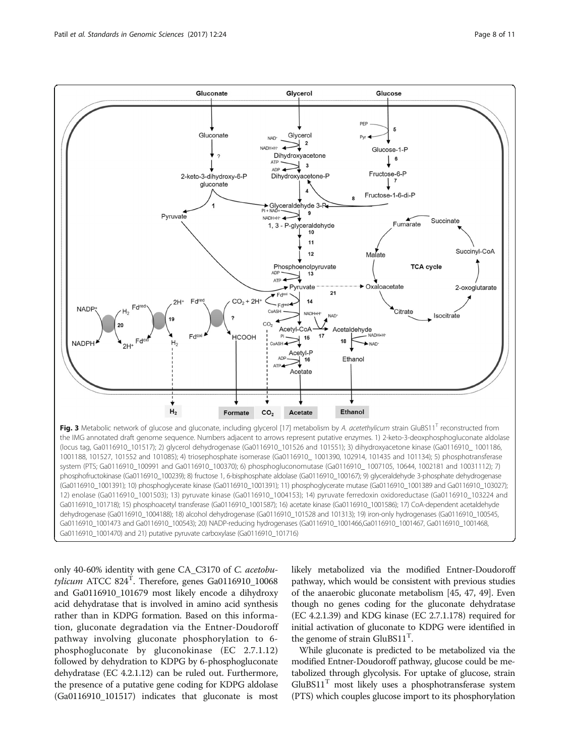<span id="page-7-0"></span>

Fig. 3 Metabolic network of glucose and gluconate, including glycerol [[17](#page-9-0)] metabolism by A. acetethylicum strain GluBS11<sup>T</sup> reconstructed from the IMG annotated draft genome sequence. Numbers adjacent to arrows represent putative enzymes. 1) 2-keto-3-deoxphosphogluconate aldolase (locus tag, Ga0116910\_101517); 2) glycerol dehydrogenase (Ga0116910\_101526 and 101551); 3) dihydroxyacetone kinase (Ga0116910\_ 1001186, 1001188, 101527, 101552 and 101085); 4) triosephosphate isomerase (Ga0116910\_ 1001390, 102914, 101435 and 101134); 5) phosphotransferase system (PTS; Ga0116910\_100991 and Ga0116910\_100370); 6) phosphogluconomutase (Ga0116910 \_1007105, 10644, 1002181 and 10031112); 7) phosphofructokinase (Ga0116910\_100239); 8) fructose 1, 6-bisphosphate aldolase (Ga0116910\_100167); 9) glyceraldehyde 3-phosphate dehydrogenase (Ga0116910\_1001391); 10) phosphoglycerate kinase (Ga0116910\_1001391); 11) phosphoglycerate mutase (Ga0116910\_1001389 and Ga0116910\_103027); 12) enolase (Ga0116910\_1001503); 13) pyruvate kinase (Ga0116910\_1004153); 14) pyruvate ferredoxin oxidoreductase (Ga0116910\_103224 and Ga0116910\_101718); 15) phosphoacetyl transferase (Ga0116910\_1001587); 16) acetate kinase (Ga0116910\_1001586); 17) CoA-dependent acetaldehyde dehydrogenase (Ga0116910\_1004188); 18) alcohol dehydrogenase (Ga0116910\_101528 and 101313); 19) iron-only hydrogenases (Ga0116910\_100545, Ga0116910\_1001473 and Ga0116910\_100543); 20) NADP-reducing hydrogenases (Ga0116910\_1001466,Ga0116910\_1001467, Ga0116910\_1001468, Ga0116910\_1001470) and 21) putative pyruvate carboxylase (Ga0116910\_101716)

only 40-60% identity with gene CA\_C3170 of [C. acetobu](http://doi.org/10.1601/nm.3883)[tylicum](http://doi.org/10.1601/nm.3883) [ATCC 824](http://doi.org/10.1601/strainfinder?urlappend=%3Fid%3DATCC+824) $^{\text{T}}$ . Therefore, genes Ga0116910\_10068 and Ga0116910\_101679 most likely encode a dihydroxy acid dehydratase that is involved in amino acid synthesis rather than in KDPG formation. Based on this information, gluconate degradation via the Entner-Doudoroff pathway involving gluconate phosphorylation to 6 phosphogluconate by gluconokinase (EC 2.7.1.12) followed by dehydration to KDPG by 6-phosphogluconate dehydratase (EC 4.2.1.12) can be ruled out. Furthermore, the presence of a putative gene coding for KDPG aldolase (Ga0116910\_101517) indicates that gluconate is most likely metabolized via the modified Entner-Doudoroff pathway, which would be consistent with previous studies of the anaerobic gluconate metabolism [\[45, 47](#page-10-0), [49](#page-10-0)]. Even though no genes coding for the gluconate dehydratase (EC 4.2.1.39) and KDG kinase (EC 2.7.1.178) required for initial activation of gluconate to KDPG were identified in the genome of strain  $GluBS11<sup>T</sup>$ .

While gluconate is predicted to be metabolized via the modified Entner-Doudoroff pathway, glucose could be metabolized through glycolysis. For uptake of glucose, strain  $GluBS11<sup>T</sup>$  most likely uses a phosphotransferase system (PTS) which couples glucose import to its phosphorylation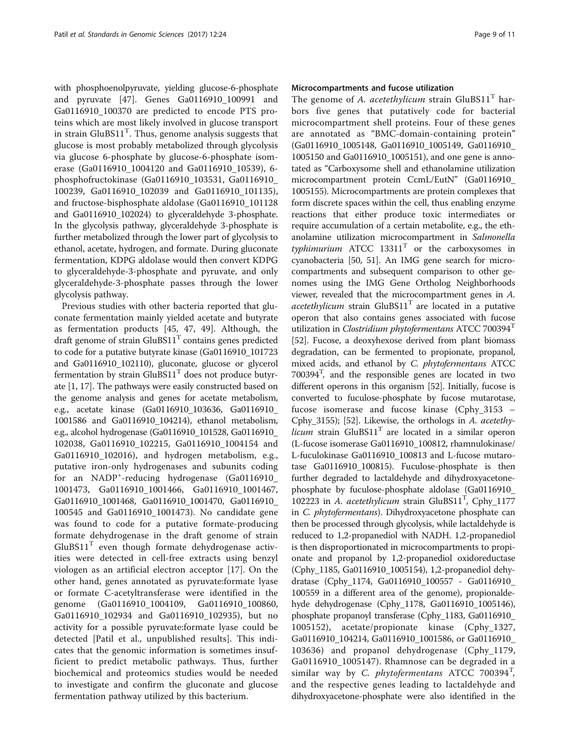with phosphoenolpyruvate, yielding glucose-6-phosphate and pyruvate [[47\]](#page-10-0). Genes Ga0116910\_100991 and Ga0116910\_100370 are predicted to encode PTS proteins which are most likely involved in glucose transport in strain  $GluBS11<sup>T</sup>$ . Thus, genome analysis suggests that glucose is most probably metabolized through glycolysis via glucose 6-phosphate by glucose-6-phosphate isomerase (Ga0116910\_1004120 and Ga0116910\_10539), 6 phosphofructokinase (Ga0116910\_103531, Ga0116910\_ 100239, Ga0116910\_102039 and Ga0116910\_101135), and fructose-bisphosphate aldolase (Ga0116910\_101128 and Ga0116910\_102024) to glyceraldehyde 3-phosphate. In the glycolysis pathway, glyceraldehyde 3-phosphate is further metabolized through the lower part of glycolysis to ethanol, acetate, hydrogen, and formate. During gluconate fermentation, KDPG aldolase would then convert KDPG to glyceraldehyde-3-phosphate and pyruvate, and only glyceraldehyde-3-phosphate passes through the lower glycolysis pathway.

Previous studies with other bacteria reported that gluconate fermentation mainly yielded acetate and butyrate as fermentation products [[45](#page-10-0), [47](#page-10-0), [49](#page-10-0)]. Although, the draft genome of strain  $GluBS11<sup>T</sup>$  contains genes predicted to code for a putative butyrate kinase (Ga0116910\_101723 and Ga0116910\_102110), gluconate, glucose or glycerol fermentation by strain  $GluBS11<sup>T</sup>$  does not produce butyrate [\[1](#page-9-0), [17](#page-9-0)]. The pathways were easily constructed based on the genome analysis and genes for acetate metabolism, e.g., acetate kinase (Ga0116910\_103636, Ga0116910\_ 1001586 and Ga0116910\_104214), ethanol metabolism, e.g., alcohol hydrogenase (Ga0116910\_101528, Ga0116910\_ 102038, Ga0116910\_102215, Ga0116910\_1004154 and Ga0116910\_102016), and hydrogen metabolism, e.g., putative iron-only hydrogenases and subunits coding for an NADP<sup>+</sup>-reducing hydrogenase (Ga0116910\_ 1001473, Ga0116910\_1001466, Ga0116910\_1001467, Ga0116910\_1001468, Ga0116910\_1001470, Ga0116910\_ 100545 and Ga0116910\_1001473). No candidate gene was found to code for a putative formate-producing formate dehydrogenase in the draft genome of strain  $GluBS11<sup>T</sup>$  even though formate dehydrogenase activities were detected in cell-free extracts using benzyl viologen as an artificial electron acceptor [[17\]](#page-9-0). On the other hand, genes annotated as pyruvate:formate lyase or formate C-acetyltransferase were identified in the genome (Ga0116910\_1004109, Ga0116910\_100860, Ga0116910\_102934 and Ga0116910\_102935), but no activity for a possible pyruvate:formate lyase could be detected [Patil et al., unpublished results]. This indicates that the genomic information is sometimes insufficient to predict metabolic pathways. Thus, further biochemical and proteomics studies would be needed to investigate and confirm the gluconate and glucose fermentation pathway utilized by this bacterium.

## Microcompartments and fucose utilization

The genome of [A. acetethylicum](http://doi.org/10.1601/nm.27452) strain  $GluBS11<sup>T</sup>$  harbors five genes that putatively code for bacterial microcompartment shell proteins. Four of these genes are annotated as "BMC-domain-containing protein" (Ga0116910\_1005148, Ga0116910\_1005149, Ga0116910\_ 1005150 and Ga0116910\_1005151), and one gene is annotated as "Carboxysome shell and ethanolamine utilization microcompartment protein CcmL/EutN" (Ga0116910\_ 1005155). Microcompartments are protein complexes that form discrete spaces within the cell, thus enabling enzyme reactions that either produce toxic intermediates or require accumulation of a certain metabolite, e.g., the ethanolamine utilization microcompartment in [Salmonella](http://doi.org/10.1601/nm.3311) [typhimurium](http://doi.org/10.1601/nm.3311) ATCC  $13311<sup>T</sup>$  or the carboxysomes in cyanobacteria [\[50, 51\]](#page-10-0). An IMG gene search for microcompartments and subsequent comparison to other genomes using the IMG Gene Ortholog Neighborhoods viewer, revealed that the microcompartment genes in [A.](http://doi.org/10.1601/nm.27452) [acetethylicum](http://doi.org/10.1601/nm.27452) strain  $GluBS11<sup>T</sup>$  are located in a putative operon that also contains genes associated with fucose utilization in *[Clostridium phytofermentans](http://doi.org/10.1601/nm.3993)* ATCC 700394<sup>T</sup> [[52](#page-10-0)]. Fucose, a deoxyhexose derived from plant biomass degradation, can be fermented to propionate, propanol, mixed acids, and ethanol by [C. phytofermentans](http://doi.org/10.1601/nm.3993) [ATCC](http://doi.org/10.1601/strainfinder?urlappend=%3Fid%3DATCC+700394) [700394T](http://doi.org/10.1601/strainfinder?urlappend=%3Fid%3DATCC+700394) , and the responsible genes are located in two different operons in this organism [\[52\]](#page-10-0). Initially, fucose is converted to fuculose-phosphate by fucose mutarotase, fucose isomerase and fucose kinase (Cphy\_3153 – Cphy\_3155); [[52\]](#page-10-0). Likewise, the orthologs in [A. acetethy](http://doi.org/10.1601/nm.27452)[licum](http://doi.org/10.1601/nm.27452) strain  $GluBS11<sup>T</sup>$  are located in a similar operon (L-fucose isomerase Ga0116910\_100812, rhamnulokinase/ L-fuculokinase Ga0116910\_100813 and L-fucose mutarotase Ga0116910\_100815). Fuculose-phosphate is then further degraded to lactaldehyde and dihydroxyacetonephosphate by fuculose-phosphate aldolase (Ga0116910\_ 102223 in [A. acetethylicum](http://doi.org/10.1601/nm.27452) strain GluBS11<sup>T</sup>, Cphy\_1177 in [C. phytofermentans](http://doi.org/10.1601/nm.3993)). Dihydroxyacetone phosphate can then be processed through glycolysis, while lactaldehyde is reduced to 1,2-propanediol with NADH. 1,2-propanediol is then disproportionated in microcompartments to propionate and propanol by 1,2-propanediol oxidoreductase (Cphy\_1185, Ga0116910\_1005154), 1,2-propanediol dehydratase (Cphy\_1174, Ga0116910\_100557 - Ga0116910\_ 100559 in a different area of the genome), propionaldehyde dehydrogenase (Cphy\_1178, Ga0116910\_1005146), phosphate propanoyl transferase (Cphy\_1183, Ga0116910\_ 1005152), acetate/propionate kinase (Cphy\_1327, Ga0116910\_104214, Ga0116910\_1001586, or Ga0116910\_ 103636) and propanol dehydrogenase (Cphy\_1179, Ga0116910\_1005147). Rhamnose can be degraded in a similar way by [C. phytofermentans](http://doi.org/10.1601/nm.3993) [ATCC 700394](http://doi.org/10.1601/strainfinder?urlappend=%3Fid%3DATCC+700394)<sup>T</sup>, and the respective genes leading to lactaldehyde and dihydroxyacetone-phosphate were also identified in the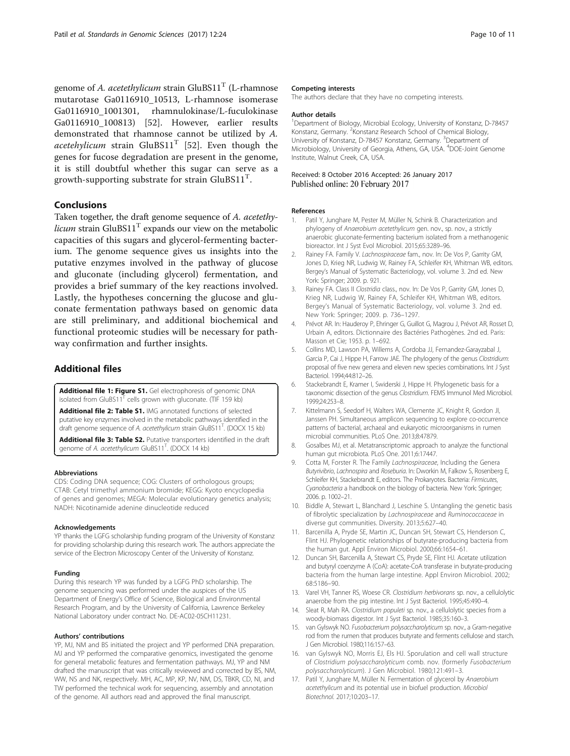<span id="page-9-0"></span>genome of A. acetethylicum [strain](http://doi.namesforlife.com/10.1601/nm.27452)  $GluBS11<sup>T</sup>$  (L-rhamnose mutarotase Ga0116910\_10513, L-rhamnose isomerase Ga0116910\_1001301, rhamnulokinase/L-fuculokinase Ga0116910\_100813) [\[52](#page-10-0)]. However, earlier results demonstrated that rhamnose cannot be utilized by A. acetehylicum strain  $GluBS11<sup>T</sup>$  [[52\]](#page-10-0). Even though the genes for fucose degradation are present in the genome, it is still doubtful whether this sugar can serve as a growth-supporting substrate for strain  $GluBS11<sup>T</sup>$ .

## Conclusions

Taken together, the draft genome sequence of [A. acetethy](http://doi.org/10.1601/nm.27452)[licum](http://doi.org/10.1601/nm.27452) strain  $G \cup B S11^T$  expands our view on the metabolic capacities of this sugars and glycerol-fermenting bacterium. The genome sequence gives us insights into the putative enzymes involved in the pathway of glucose and gluconate (including glycerol) fermentation, and provides a brief summary of the key reactions involved. Lastly, the hypotheses concerning the glucose and gluconate fermentation pathways based on genomic data are still preliminary, and additional biochemical and functional proteomic studies will be necessary for pathway confirmation and further insights.

## Additional files

[Additional file 1: Figure S1.](dx.doi.org/10.1186/s40793-017-0236-4) Gel electrophoresis of genomic DNA isolated from GluBS11 $<sup>T</sup>$  cells grown with gluconate. (TIF 159 kb)</sup> [Additional file 2: Table S1.](dx.doi.org/10.1186/s40793-017-0236-4) IMG annotated functions of selected putative key enzymes involved in the metabolic pathways identified in the .<br>draft genome sequence of A. acetethylicum strain GluBS11<sup>T</sup>. (DOCX 15 kb)

[Additional file 3: Table S2.](dx.doi.org/10.1186/s40793-017-0236-4) Putative transporters identified in the draft genome of A. acetethylicum GluBS11<sup>T</sup>. (DOCX 14 kb)

#### Abbreviations

CDS: Coding DNA sequence; COG: Clusters of orthologous groups; CTAB: Cetyl trimethyl ammonium bromide; KEGG: Kyoto encyclopedia of genes and genomes; MEGA: Molecular evolutionary genetics analysis; NADH: Nicotinamide adenine dinucleotide reduced

#### Acknowledgements

YP thanks the LGFG scholarship funding program of the University of Konstanz for providing scholarship during this research work. The authors appreciate the service of the Electron Microscopy Center of the University of Konstanz.

#### Funding

During this research YP was funded by a LGFG PhD scholarship. The genome sequencing was performed under the auspices of the US Department of Energy's Office of Science, Biological and Environmental Research Program, and by the University of California, Lawrence Berkeley National Laboratory under contract No. DE-AC02-05CH11231.

#### Authors' contributions

YP, MJ, NM and BS initiated the project and YP performed DNA preparation. MJ and YP performed the comparative genomics, investigated the genome for general metabolic features and fermentation pathways. MJ, YP and NM drafted the manuscript that was critically reviewed and corrected by BS, NM, WW, NS and NK, respectively. MH, AC, MP, KP, NV, NM, DS, TBKR, CD, NI, and TW performed the technical work for sequencing, assembly and annotation of the genome. All authors read and approved the final manuscript.

#### Competing interests

The authors declare that they have no competing interests.

#### Author details

<sup>1</sup>Department of Biology, Microbial Ecology, University of Konstanz, D-78457 Konstanz, Germany. <sup>2</sup> Konstanz Research School of Chemical Biology, University of Konstanz, D-78457 Konstanz, Germany. <sup>3</sup>Department of Microbiology, University of Georgia, Athens, GA, USA. <sup>4</sup>DOE-Joint Genome Institute, Walnut Creek, CA, USA.

#### Received: 8 October 2016 Accepted: 26 January 2017 Published online: 20 February 2017

#### References

- Patil Y, Junghare M, Pester M, Müller N, Schink B. Characterization and phylogeny of Anaerobium acetethylicum gen. nov., sp. nov., a strictly anaerobic gluconate-fermenting bacterium isolated from a methanogenic bioreactor. Int J Syst Evol Microbiol. 2015;65:3289–96.
- Rainey FA. Family V. Lachnospiraceae fam., nov. In: De Vos P, Garrity GM, Jones D, Krieg NR, Ludwig W, Rainey FA, Schleifer KH, Whitman WB, editors. Bergey's Manual of Systematic Bacteriology, vol. volume 3. 2nd ed. New York: Springer; 2009. p. 921.
- 3. Rainey FA. Class II Clostridia class., nov. In: De Vos P, Garrity GM, Jones D, Krieg NR, Ludwig W, Rainey FA, Schleifer KH, Whitman WB, editors. Bergey's Manual of Systematic Bacteriology, vol. volume 3. 2nd ed. New York: Springer; 2009. p. 736–1297.
- 4. Prévot AR. In: Hauderoy P, Ehringer G, Guillot G, Magrou J, Prévot AR, Rosset D, Urbain A, editors. Dictionnaire des Bactéries Pathogènes. 2nd ed. Paris: Masson et Cie; 1953. p. 1–692.
- 5. Collins MD, Lawson PA, Willems A, Cordoba JJ, Fernandez-Garayzabal J, Garcia P, Cai J, Hippe H, Farrow JAE. The phylogeny of the genus Clostridium: proposal of five new genera and eleven new species combinations. Int J Syst Bacteriol. 1994;44:812–26.
- 6. Stackebrandt E, Kramer I, Swiderski J, Hippe H. Phylogenetic basis for a taxonomic dissection of the genus Clostridium. FEMS Immunol Med Microbiol. 1999;24:253–8.
- 7. Kittelmann S, Seedorf H, Walters WA, Clemente JC, Knight R, Gordon JI, Janssen PH. Simultaneous amplicon sequencing to explore co-occurrence patterns of bacterial, archaeal and eukaryotic microorganisms in rumen microbial communities. PLoS One. 2013;8:47879.
- 8. Gosalbes MJ, et al. Metatranscriptomic approach to analyze the functional human gut microbiota. PLoS One. 2011;6:17447.
- 9. Cotta M, Forster R. The Family Lachnospiraceae, Including the Genera Butyrivibrio, Lachnospira and Roseburia. In: Dworkin M, Falkow S, Rosenberg E, Schleifer KH, Stackebrandt E, editors. The Prokaryotes. Bacteria: Firmicutes, Cyanobacteria a handbook on the biology of bacteria. New York: Springer; 2006. p. 1002–21.
- 10. Biddle A, Stewart L, Blanchard J, Leschine S. Untangling the genetic basis of fibrolytic specialization by Lachnospiraceae and Ruminococcaceae in diverse gut communities. Diversity. 2013;5:627–40.
- 11. Barcenilla A, Pryde SE, Martin JC, Duncan SH, Stewart CS, Henderson C, Flint HJ. Phylogenetic relationships of butyrate-producing bacteria from the human gut. Appl Environ Microbiol. 2000;66:1654–61.
- 12. Duncan SH, Barcenilla A, Stewart CS, Pryde SE, Flint HJ. Acetate utilization and butyryl coenzyme A (CoA): acetate-CoA transferase in butyrate-producing bacteria from the human large intestine. Appl Environ Microbiol. 2002; 68:5186–90.
- 13. Varel VH, Tanner RS, Woese CR. Clostridium herbivorans sp. nov., a cellulolytic anaerobe from the pig intestine. Int J Syst Bacteriol. 1995;45:490–4.
- 14. Sleat R, Mah RA. Clostridium populeti sp. nov., a cellulolytic species from a woody-biomass digestor. Int J Syst Bacteriol. 1985;35:160–3.
- 15. van Gylswyk NO. Fusobacterium polysaccharolyticum sp. nov., a Gram-negative rod from the rumen that produces butyrate and ferments cellulose and starch. J Gen Microbiol. 1980;116:157–63.
- 16. van Gylswyk NO, Morris EJ, Els HJ. Sporulation and cell wall structure of Clostridium polysaccharolyticum comb. nov. (formerly Fusobacterium polysaccharolyticum). J Gen Microbiol. 1980;121:491–3.
- 17. Patil Y, Junghare M, Müller N. Fermentation of glycerol by Anaerobium acetethylicum and its potential use in biofuel production. Microbiol Biotechnol. 2017;10:203–17.